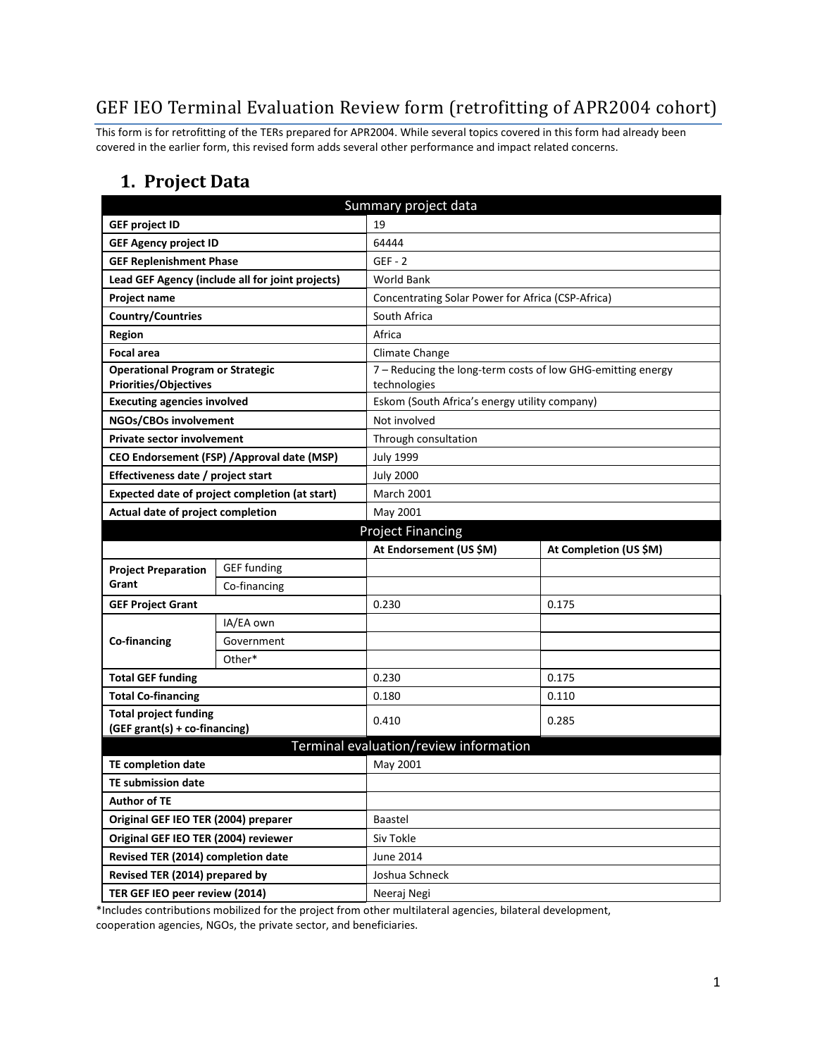# GEF IEO Terminal Evaluation Review form (retrofitting of APR2004 cohort)

This form is for retrofitting of the TERs prepared for APR2004. While several topics covered in this form had already been covered in the earlier form, this revised form adds several other performance and impact related concerns.

#### **1. Project Data**

| Summary project data                                                    |                                                  |                                                               |                        |  |  |
|-------------------------------------------------------------------------|--------------------------------------------------|---------------------------------------------------------------|------------------------|--|--|
| <b>GEF project ID</b>                                                   |                                                  | 19                                                            |                        |  |  |
| <b>GEF Agency project ID</b>                                            |                                                  | 64444                                                         |                        |  |  |
| <b>GEF Replenishment Phase</b>                                          |                                                  | $GEF - 2$                                                     |                        |  |  |
|                                                                         | Lead GEF Agency (include all for joint projects) | <b>World Bank</b>                                             |                        |  |  |
| <b>Project name</b>                                                     |                                                  | Concentrating Solar Power for Africa (CSP-Africa)             |                        |  |  |
| <b>Country/Countries</b>                                                |                                                  | South Africa                                                  |                        |  |  |
| Region                                                                  |                                                  | Africa                                                        |                        |  |  |
| <b>Focal area</b>                                                       | Climate Change                                   |                                                               |                        |  |  |
| <b>Operational Program or Strategic</b><br><b>Priorities/Objectives</b> |                                                  | 7 - Reducing the long-term costs of low GHG-emitting energy   |                        |  |  |
| <b>Executing agencies involved</b>                                      |                                                  | technologies<br>Eskom (South Africa's energy utility company) |                        |  |  |
| NGOs/CBOs involvement                                                   |                                                  | Not involved                                                  |                        |  |  |
| <b>Private sector involvement</b>                                       |                                                  | Through consultation                                          |                        |  |  |
|                                                                         | CEO Endorsement (FSP) / Approval date (MSP)      | <b>July 1999</b>                                              |                        |  |  |
| Effectiveness date / project start                                      |                                                  | <b>July 2000</b>                                              |                        |  |  |
| Expected date of project completion (at start)                          |                                                  | <b>March 2001</b>                                             |                        |  |  |
| Actual date of project completion                                       |                                                  | May 2001                                                      |                        |  |  |
| <b>Project Financing</b>                                                |                                                  |                                                               |                        |  |  |
|                                                                         |                                                  | At Endorsement (US \$M)                                       | At Completion (US \$M) |  |  |
| <b>Project Preparation</b>                                              | <b>GEF</b> funding                               |                                                               |                        |  |  |
| Grant                                                                   | Co-financing                                     |                                                               |                        |  |  |
| <b>GEF Project Grant</b>                                                |                                                  | 0.230                                                         | 0.175                  |  |  |
|                                                                         | IA/EA own                                        |                                                               |                        |  |  |
| <b>Co-financing</b>                                                     | Government                                       |                                                               |                        |  |  |
|                                                                         | Other*                                           |                                                               |                        |  |  |
| <b>Total GEF funding</b>                                                |                                                  | 0.230                                                         | 0.175                  |  |  |
| <b>Total Co-financing</b>                                               |                                                  | 0.180                                                         | 0.110                  |  |  |
| <b>Total project funding</b>                                            |                                                  | 0.410                                                         | 0.285                  |  |  |
| (GEF grant(s) + co-financing)                                           |                                                  |                                                               |                        |  |  |
|                                                                         |                                                  | Terminal evaluation/review information                        |                        |  |  |
| <b>TE completion date</b>                                               |                                                  | May 2001                                                      |                        |  |  |
| <b>TE submission date</b>                                               |                                                  |                                                               |                        |  |  |
| <b>Author of TE</b>                                                     |                                                  |                                                               |                        |  |  |
| Original GEF IEO TER (2004) preparer                                    |                                                  | Baastel                                                       |                        |  |  |
| Original GEF IEO TER (2004) reviewer                                    |                                                  | Siv Tokle                                                     |                        |  |  |
| Revised TER (2014) completion date                                      |                                                  | June 2014                                                     |                        |  |  |
| Revised TER (2014) prepared by                                          |                                                  | Joshua Schneck                                                |                        |  |  |
| TER GEF IEO peer review (2014)                                          |                                                  | Neeraj Negi                                                   |                        |  |  |

\*Includes contributions mobilized for the project from other multilateral agencies, bilateral development, cooperation agencies, NGOs, the private sector, and beneficiaries.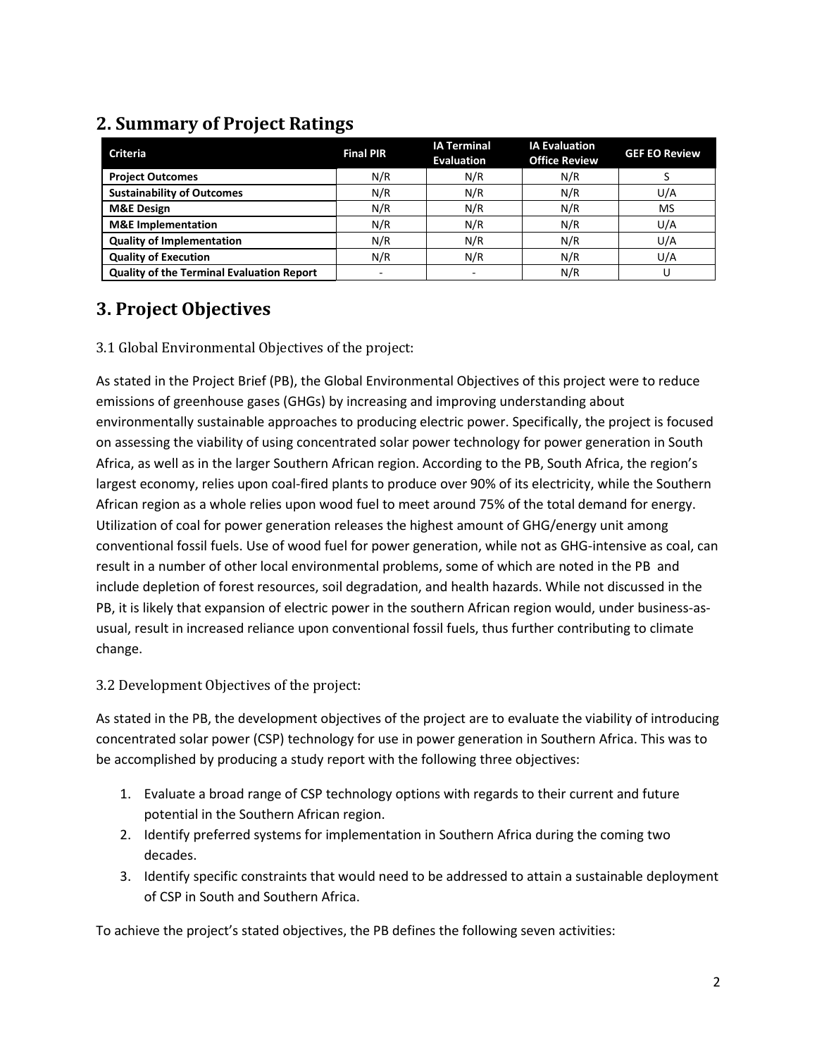| ີ                                                |                          |                                         |                                              |                      |
|--------------------------------------------------|--------------------------|-----------------------------------------|----------------------------------------------|----------------------|
| <b>Criteria</b>                                  | <b>Final PIR</b>         | <b>IA Terminal</b><br><b>Evaluation</b> | <b>IA Evaluation</b><br><b>Office Review</b> | <b>GEF EO Review</b> |
| <b>Project Outcomes</b>                          | N/R                      | N/R                                     | N/R                                          |                      |
| <b>Sustainability of Outcomes</b>                | N/R                      | N/R                                     | N/R                                          | U/A                  |
| <b>M&amp;E Design</b>                            | N/R                      | N/R                                     | N/R                                          | MS                   |
| <b>M&amp;E</b> Implementation                    | N/R                      | N/R                                     | N/R                                          | U/A                  |
| <b>Quality of Implementation</b>                 | N/R                      | N/R                                     | N/R                                          | U/A                  |
| <b>Quality of Execution</b>                      | N/R                      | N/R                                     | N/R                                          | U/A                  |
| <b>Quality of the Terminal Evaluation Report</b> | $\overline{\phantom{a}}$ |                                         | N/R                                          |                      |

## **2. Summary of Project Ratings**

## **3. Project Objectives**

3.1 Global Environmental Objectives of the project:

As stated in the Project Brief (PB), the Global Environmental Objectives of this project were to reduce emissions of greenhouse gases (GHGs) by increasing and improving understanding about environmentally sustainable approaches to producing electric power. Specifically, the project is focused on assessing the viability of using concentrated solar power technology for power generation in South Africa, as well as in the larger Southern African region. According to the PB, South Africa, the region's largest economy, relies upon coal-fired plants to produce over 90% of its electricity, while the Southern African region as a whole relies upon wood fuel to meet around 75% of the total demand for energy. Utilization of coal for power generation releases the highest amount of GHG/energy unit among conventional fossil fuels. Use of wood fuel for power generation, while not as GHG-intensive as coal, can result in a number of other local environmental problems, some of which are noted in the PB and include depletion of forest resources, soil degradation, and health hazards. While not discussed in the PB, it is likely that expansion of electric power in the southern African region would, under business-asusual, result in increased reliance upon conventional fossil fuels, thus further contributing to climate change.

3.2 Development Objectives of the project:

As stated in the PB, the development objectives of the project are to evaluate the viability of introducing concentrated solar power (CSP) technology for use in power generation in Southern Africa. This was to be accomplished by producing a study report with the following three objectives:

- 1. Evaluate a broad range of CSP technology options with regards to their current and future potential in the Southern African region.
- 2. Identify preferred systems for implementation in Southern Africa during the coming two decades.
- 3. Identify specific constraints that would need to be addressed to attain a sustainable deployment of CSP in South and Southern Africa.

To achieve the project's stated objectives, the PB defines the following seven activities: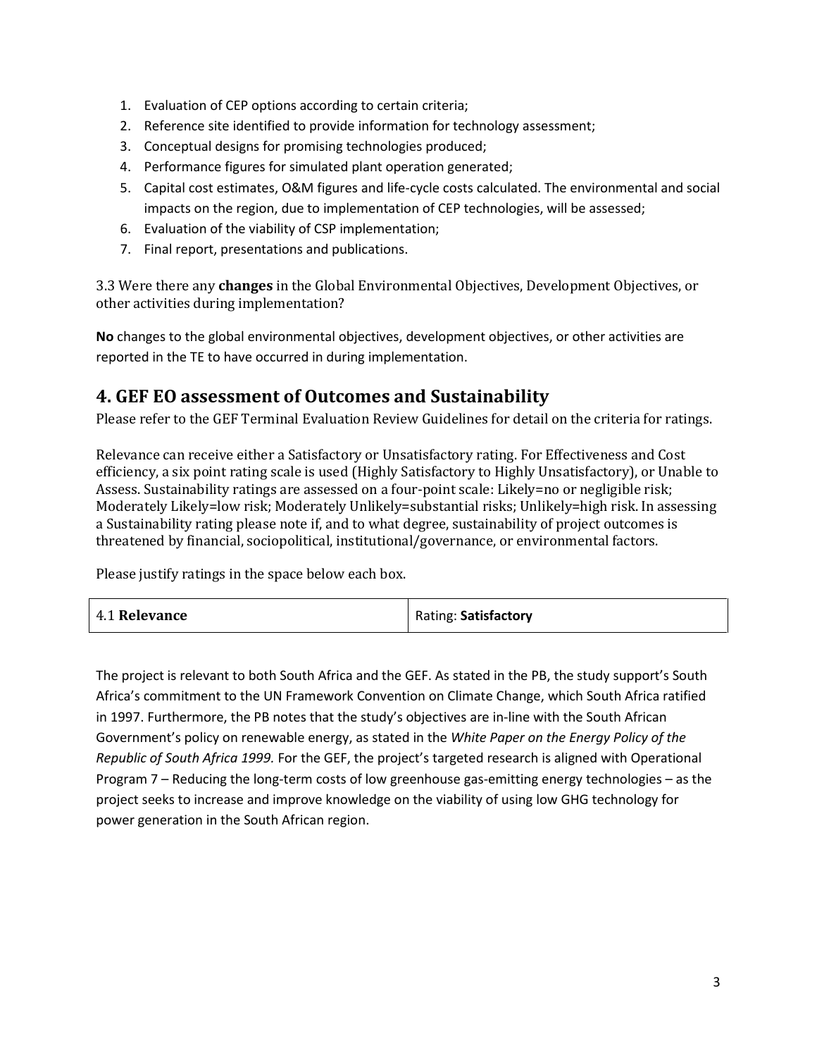- 1. Evaluation of CEP options according to certain criteria;
- 2. Reference site identified to provide information for technology assessment;
- 3. Conceptual designs for promising technologies produced;
- 4. Performance figures for simulated plant operation generated;
- 5. Capital cost estimates, O&M figures and life-cycle costs calculated. The environmental and social impacts on the region, due to implementation of CEP technologies, will be assessed;
- 6. Evaluation of the viability of CSP implementation;
- 7. Final report, presentations and publications.

3.3 Were there any **changes** in the Global Environmental Objectives, Development Objectives, or other activities during implementation?

**No** changes to the global environmental objectives, development objectives, or other activities are reported in the TE to have occurred in during implementation.

#### **4. GEF EO assessment of Outcomes and Sustainability**

Please refer to the GEF Terminal Evaluation Review Guidelines for detail on the criteria for ratings.

Relevance can receive either a Satisfactory or Unsatisfactory rating. For Effectiveness and Cost efficiency, a six point rating scale is used (Highly Satisfactory to Highly Unsatisfactory), or Unable to Assess. Sustainability ratings are assessed on a four-point scale: Likely=no or negligible risk; Moderately Likely=low risk; Moderately Unlikely=substantial risks; Unlikely=high risk. In assessing a Sustainability rating please note if, and to what degree, sustainability of project outcomes is threatened by financial, sociopolitical, institutional/governance, or environmental factors.

Please justify ratings in the space below each box.

| 4.1 Relevance | Rating: Satisfactory |
|---------------|----------------------|
|---------------|----------------------|

The project is relevant to both South Africa and the GEF. As stated in the PB, the study support's South Africa's commitment to the UN Framework Convention on Climate Change, which South Africa ratified in 1997. Furthermore, the PB notes that the study's objectives are in-line with the South African Government's policy on renewable energy, as stated in the *White Paper on the Energy Policy of the Republic of South Africa 1999.* For the GEF, the project's targeted research is aligned with Operational Program 7 – Reducing the long-term costs of low greenhouse gas-emitting energy technologies – as the project seeks to increase and improve knowledge on the viability of using low GHG technology for power generation in the South African region.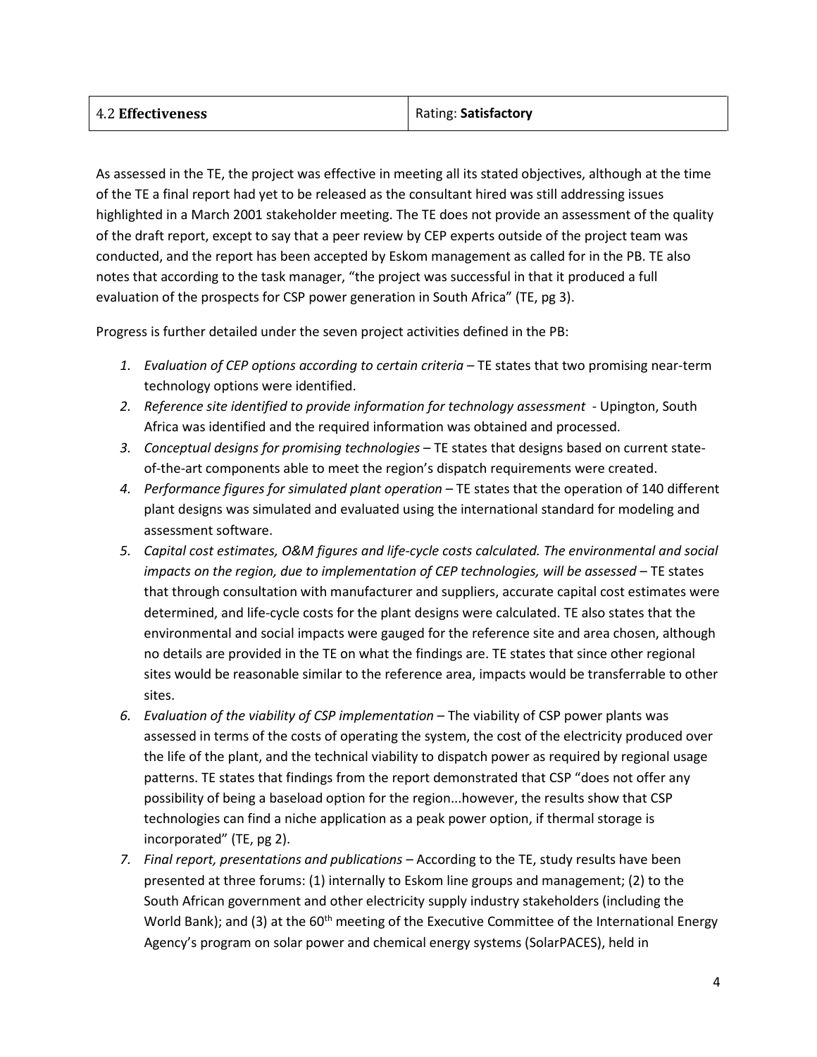| <b>4.2 Effectiveness</b> | Rating: Satisfactory |
|--------------------------|----------------------|
|                          |                      |

As assessed in the TE, the project was effective in meeting all its stated objectives, although at the time of the TE a final report had yet to be released as the consultant hired was still addressing issues highlighted in a March 2001 stakeholder meeting. The TE does not provide an assessment of the quality of the draft report, except to say that a peer review by CEP experts outside of the project team was conducted, and the report has been accepted by Eskom management as called for in the PB. TE also notes that according to the task manager, "the project was successful in that it produced a full evaluation of the prospects for CSP power generation in South Africa" (TE, pg 3).

Progress is further detailed under the seven project activities defined in the PB:

- *1. Evaluation of CEP options according to certain criteria –* TE states that two promising near-term technology options were identified.
- *2. Reference site identified to provide information for technology assessment* Upington, South Africa was identified and the required information was obtained and processed.
- *3. Conceptual designs for promising technologies* TE states that designs based on current stateof-the-art components able to meet the region's dispatch requirements were created.
- *4. Performance figures for simulated plant operation* TE states that the operation of 140 different plant designs was simulated and evaluated using the international standard for modeling and assessment software.
- *5. Capital cost estimates, O&M figures and life-cycle costs calculated. The environmental and social impacts on the region, due to implementation of CEP technologies, will be assessed* – TE states that through consultation with manufacturer and suppliers, accurate capital cost estimates were determined, and life-cycle costs for the plant designs were calculated. TE also states that the environmental and social impacts were gauged for the reference site and area chosen, although no details are provided in the TE on what the findings are. TE states that since other regional sites would be reasonable similar to the reference area, impacts would be transferrable to other sites.
- *6. Evaluation of the viability of CSP implementation* The viability of CSP power plants was assessed in terms of the costs of operating the system, the cost of the electricity produced over the life of the plant, and the technical viability to dispatch power as required by regional usage patterns. TE states that findings from the report demonstrated that CSP "does not offer any possibility of being a baseload option for the region...however, the results show that CSP technologies can find a niche application as a peak power option, if thermal storage is incorporated" (TE, pg 2).
- *7. Final report, presentations and publications –* According to the TE, study results have been presented at three forums: (1) internally to Eskom line groups and management; (2) to the South African government and other electricity supply industry stakeholders (including the World Bank); and (3) at the 60<sup>th</sup> meeting of the Executive Committee of the International Energy Agency's program on solar power and chemical energy systems (SolarPACES), held in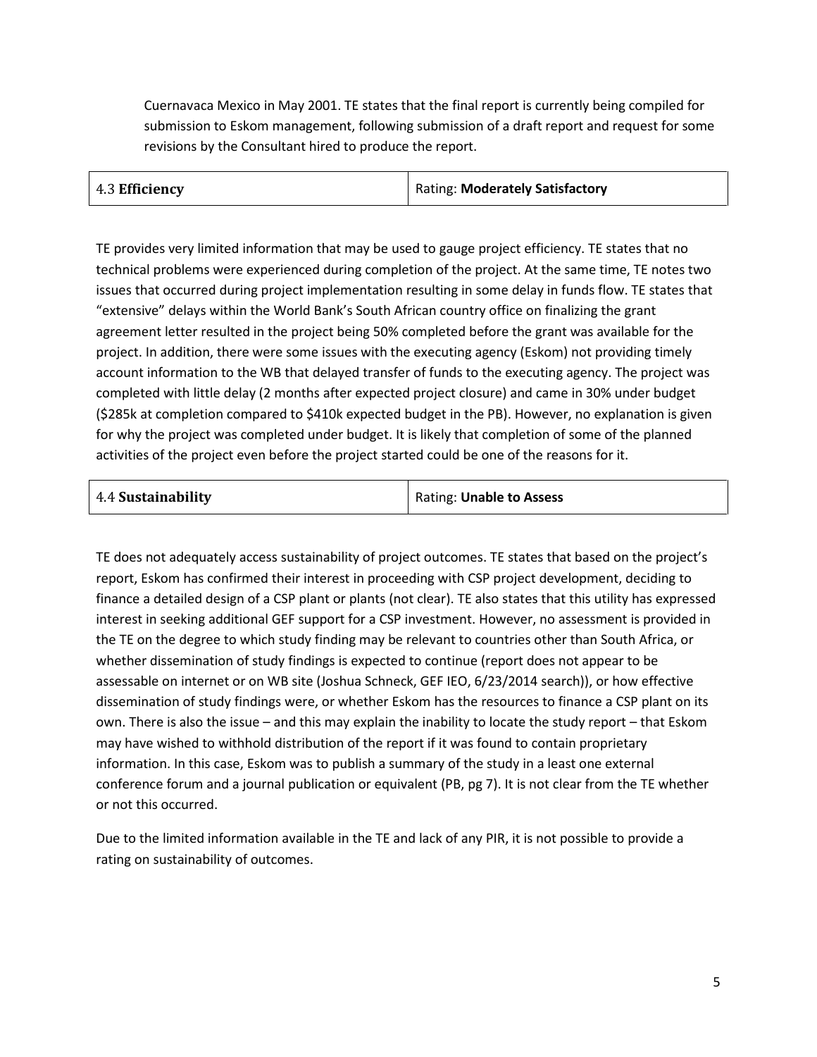Cuernavaca Mexico in May 2001. TE states that the final report is currently being compiled for submission to Eskom management, following submission of a draft report and request for some revisions by the Consultant hired to produce the report.

| 4.3 Efficiency | <b>Rating: Moderately Satisfactory</b> |
|----------------|----------------------------------------|
|----------------|----------------------------------------|

TE provides very limited information that may be used to gauge project efficiency. TE states that no technical problems were experienced during completion of the project. At the same time, TE notes two issues that occurred during project implementation resulting in some delay in funds flow. TE states that "extensive" delays within the World Bank's South African country office on finalizing the grant agreement letter resulted in the project being 50% completed before the grant was available for the project. In addition, there were some issues with the executing agency (Eskom) not providing timely account information to the WB that delayed transfer of funds to the executing agency. The project was completed with little delay (2 months after expected project closure) and came in 30% under budget (\$285k at completion compared to \$410k expected budget in the PB). However, no explanation is given for why the project was completed under budget. It is likely that completion of some of the planned activities of the project even before the project started could be one of the reasons for it.

| 4.4 Sustainability | Rating: Unable to Assess |
|--------------------|--------------------------|
|                    |                          |

TE does not adequately access sustainability of project outcomes. TE states that based on the project's report, Eskom has confirmed their interest in proceeding with CSP project development, deciding to finance a detailed design of a CSP plant or plants (not clear). TE also states that this utility has expressed interest in seeking additional GEF support for a CSP investment. However, no assessment is provided in the TE on the degree to which study finding may be relevant to countries other than South Africa, or whether dissemination of study findings is expected to continue (report does not appear to be assessable on internet or on WB site (Joshua Schneck, GEF IEO, 6/23/2014 search)), or how effective dissemination of study findings were, or whether Eskom has the resources to finance a CSP plant on its own. There is also the issue – and this may explain the inability to locate the study report – that Eskom may have wished to withhold distribution of the report if it was found to contain proprietary information. In this case, Eskom was to publish a summary of the study in a least one external conference forum and a journal publication or equivalent (PB, pg 7). It is not clear from the TE whether or not this occurred.

Due to the limited information available in the TE and lack of any PIR, it is not possible to provide a rating on sustainability of outcomes.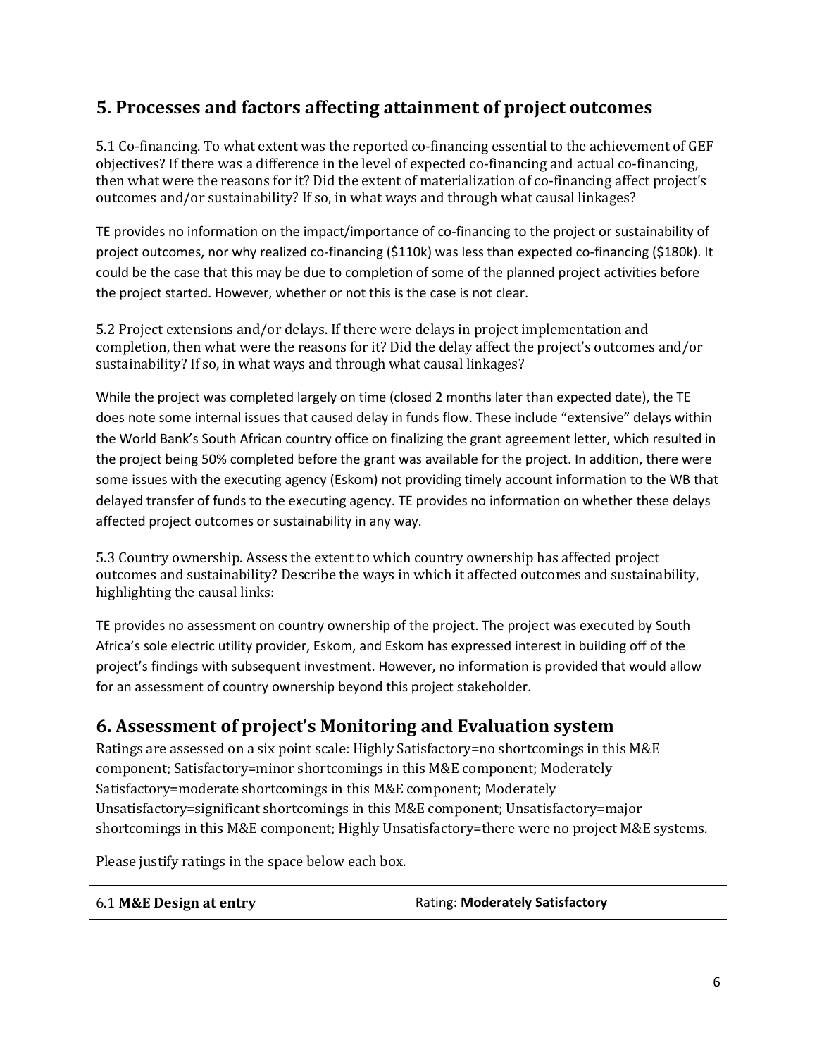### **5. Processes and factors affecting attainment of project outcomes**

5.1 Co-financing. To what extent was the reported co-financing essential to the achievement of GEF objectives? If there was a difference in the level of expected co-financing and actual co-financing, then what were the reasons for it? Did the extent of materialization of co-financing affect project's outcomes and/or sustainability? If so, in what ways and through what causal linkages?

TE provides no information on the impact/importance of co-financing to the project or sustainability of project outcomes, nor why realized co-financing (\$110k) was less than expected co-financing (\$180k). It could be the case that this may be due to completion of some of the planned project activities before the project started. However, whether or not this is the case is not clear.

5.2 Project extensions and/or delays. If there were delays in project implementation and completion, then what were the reasons for it? Did the delay affect the project's outcomes and/or sustainability? If so, in what ways and through what causal linkages?

While the project was completed largely on time (closed 2 months later than expected date), the TE does note some internal issues that caused delay in funds flow. These include "extensive" delays within the World Bank's South African country office on finalizing the grant agreement letter, which resulted in the project being 50% completed before the grant was available for the project. In addition, there were some issues with the executing agency (Eskom) not providing timely account information to the WB that delayed transfer of funds to the executing agency. TE provides no information on whether these delays affected project outcomes or sustainability in any way.

5.3 Country ownership. Assess the extent to which country ownership has affected project outcomes and sustainability? Describe the ways in which it affected outcomes and sustainability, highlighting the causal links:

TE provides no assessment on country ownership of the project. The project was executed by South Africa's sole electric utility provider, Eskom, and Eskom has expressed interest in building off of the project's findings with subsequent investment. However, no information is provided that would allow for an assessment of country ownership beyond this project stakeholder.

#### **6. Assessment of project's Monitoring and Evaluation system**

Ratings are assessed on a six point scale: Highly Satisfactory=no shortcomings in this M&E component; Satisfactory=minor shortcomings in this M&E component; Moderately Satisfactory=moderate shortcomings in this M&E component; Moderately Unsatisfactory=significant shortcomings in this M&E component; Unsatisfactory=major shortcomings in this M&E component; Highly Unsatisfactory=there were no project M&E systems.

Please justify ratings in the space below each box.

| 6.1 M&E Design at entry | Rating: Moderately Satisfactory |
|-------------------------|---------------------------------|
|-------------------------|---------------------------------|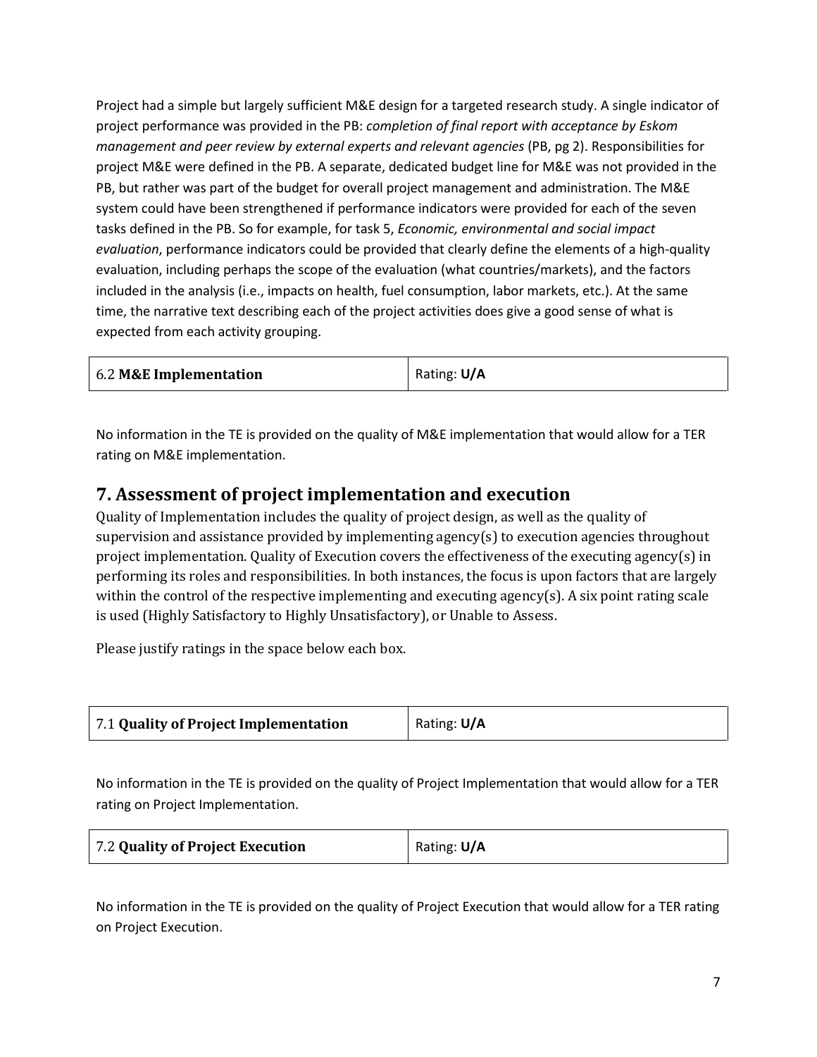Project had a simple but largely sufficient M&E design for a targeted research study. A single indicator of project performance was provided in the PB: *completion of final report with acceptance by Eskom management and peer review by external experts and relevant agencies* (PB, pg 2). Responsibilities for project M&E were defined in the PB. A separate, dedicated budget line for M&E was not provided in the PB, but rather was part of the budget for overall project management and administration. The M&E system could have been strengthened if performance indicators were provided for each of the seven tasks defined in the PB. So for example, for task 5, *Economic, environmental and social impact evaluation*, performance indicators could be provided that clearly define the elements of a high-quality evaluation, including perhaps the scope of the evaluation (what countries/markets), and the factors included in the analysis (i.e., impacts on health, fuel consumption, labor markets, etc.). At the same time, the narrative text describing each of the project activities does give a good sense of what is expected from each activity grouping.

No information in the TE is provided on the quality of M&E implementation that would allow for a TER rating on M&E implementation.

### **7. Assessment of project implementation and execution**

Quality of Implementation includes the quality of project design, as well as the quality of supervision and assistance provided by implementing agency(s) to execution agencies throughout project implementation. Quality of Execution covers the effectiveness of the executing agency(s) in performing its roles and responsibilities. In both instances, the focus is upon factors that are largely within the control of the respective implementing and executing agency(s). A six point rating scale is used (Highly Satisfactory to Highly Unsatisfactory), or Unable to Assess.

Please justify ratings in the space below each box.

|  | 7.1 Quality of Project Implementation | Rating: U/A |
|--|---------------------------------------|-------------|
|--|---------------------------------------|-------------|

No information in the TE is provided on the quality of Project Implementation that would allow for a TER rating on Project Implementation.

No information in the TE is provided on the quality of Project Execution that would allow for a TER rating on Project Execution.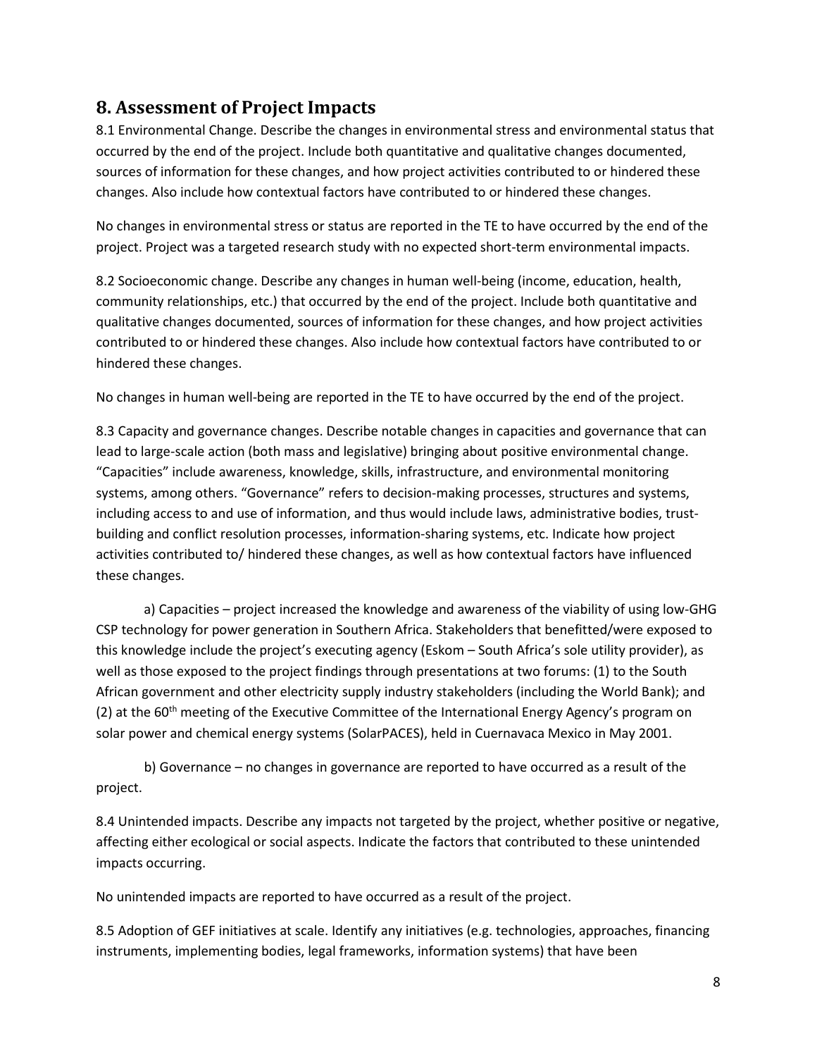### **8. Assessment of Project Impacts**

8.1 Environmental Change. Describe the changes in environmental stress and environmental status that occurred by the end of the project. Include both quantitative and qualitative changes documented, sources of information for these changes, and how project activities contributed to or hindered these changes. Also include how contextual factors have contributed to or hindered these changes.

No changes in environmental stress or status are reported in the TE to have occurred by the end of the project. Project was a targeted research study with no expected short-term environmental impacts.

8.2 Socioeconomic change. Describe any changes in human well-being (income, education, health, community relationships, etc.) that occurred by the end of the project. Include both quantitative and qualitative changes documented, sources of information for these changes, and how project activities contributed to or hindered these changes. Also include how contextual factors have contributed to or hindered these changes.

No changes in human well-being are reported in the TE to have occurred by the end of the project.

8.3 Capacity and governance changes. Describe notable changes in capacities and governance that can lead to large-scale action (both mass and legislative) bringing about positive environmental change. "Capacities" include awareness, knowledge, skills, infrastructure, and environmental monitoring systems, among others. "Governance" refers to decision-making processes, structures and systems, including access to and use of information, and thus would include laws, administrative bodies, trustbuilding and conflict resolution processes, information-sharing systems, etc. Indicate how project activities contributed to/ hindered these changes, as well as how contextual factors have influenced these changes.

a) Capacities – project increased the knowledge and awareness of the viability of using low-GHG CSP technology for power generation in Southern Africa. Stakeholders that benefitted/were exposed to this knowledge include the project's executing agency (Eskom – South Africa's sole utility provider), as well as those exposed to the project findings through presentations at two forums: (1) to the South African government and other electricity supply industry stakeholders (including the World Bank); and (2) at the  $60<sup>th</sup>$  meeting of the Executive Committee of the International Energy Agency's program on solar power and chemical energy systems (SolarPACES), held in Cuernavaca Mexico in May 2001.

b) Governance – no changes in governance are reported to have occurred as a result of the project.

8.4 Unintended impacts. Describe any impacts not targeted by the project, whether positive or negative, affecting either ecological or social aspects. Indicate the factors that contributed to these unintended impacts occurring.

No unintended impacts are reported to have occurred as a result of the project.

8.5 Adoption of GEF initiatives at scale. Identify any initiatives (e.g. technologies, approaches, financing instruments, implementing bodies, legal frameworks, information systems) that have been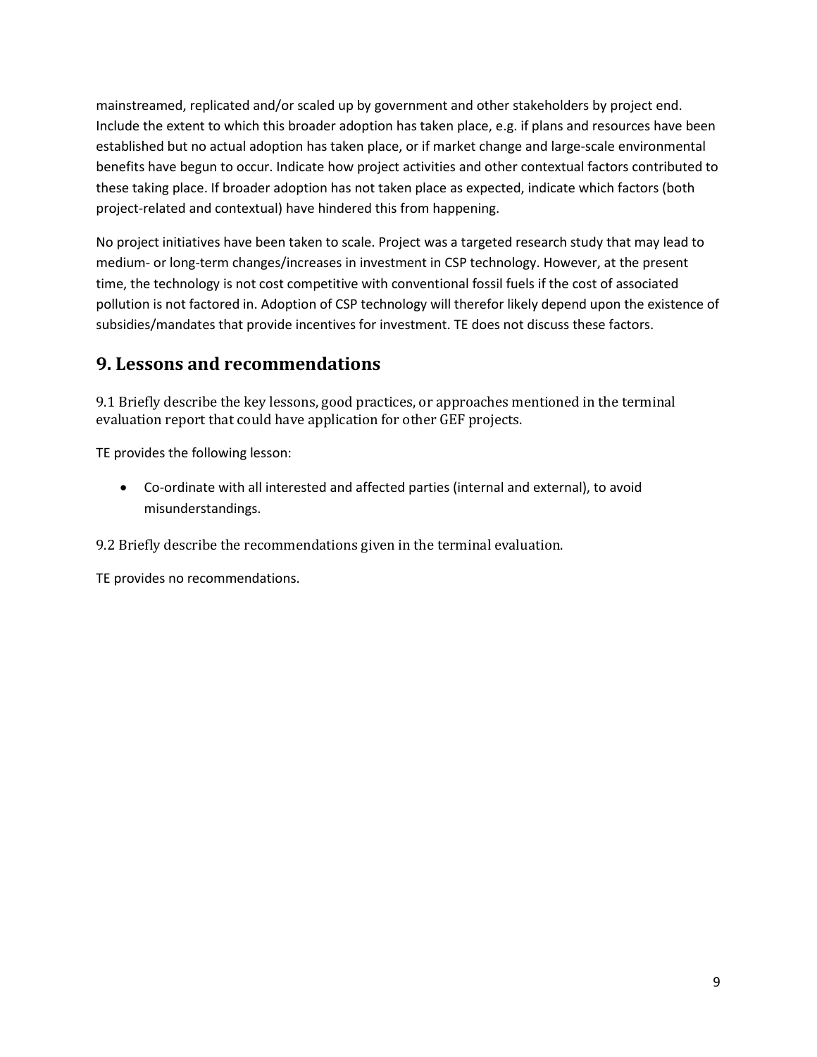mainstreamed, replicated and/or scaled up by government and other stakeholders by project end. Include the extent to which this broader adoption has taken place, e.g. if plans and resources have been established but no actual adoption has taken place, or if market change and large-scale environmental benefits have begun to occur. Indicate how project activities and other contextual factors contributed to these taking place. If broader adoption has not taken place as expected, indicate which factors (both project-related and contextual) have hindered this from happening.

No project initiatives have been taken to scale. Project was a targeted research study that may lead to medium- or long-term changes/increases in investment in CSP technology. However, at the present time, the technology is not cost competitive with conventional fossil fuels if the cost of associated pollution is not factored in. Adoption of CSP technology will therefor likely depend upon the existence of subsidies/mandates that provide incentives for investment. TE does not discuss these factors.

### **9. Lessons and recommendations**

9.1 Briefly describe the key lessons, good practices, or approaches mentioned in the terminal evaluation report that could have application for other GEF projects.

TE provides the following lesson:

• Co-ordinate with all interested and affected parties (internal and external), to avoid misunderstandings.

9.2 Briefly describe the recommendations given in the terminal evaluation.

TE provides no recommendations.